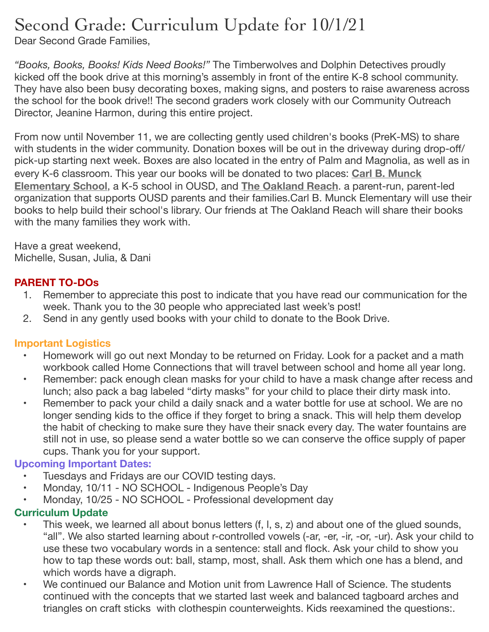# Second Grade: Curriculum Update for 10/1/21

Dear Second Grade Families,

*"Books, Books, Books! Kids Need Books!"* The Timberwolves and Dolphin Detectives proudly kicked off the book drive at this morning's assembly in front of the entire K-8 school community. They have also been busy decorating boxes, making signs, and posters to raise awareness across the school for the book drive!! The second graders work closely with our Community Outreach Director, Jeanine Harmon, during this entire project.

From now until November 11, we are collecting gently used children's books (PreK-MS) to share with students in the wider community. Donation boxes will be out in the driveway during drop-off/ pick-up starting next week. Boxes are also located in the entry of Palm and Magnolia, as well as in every K-6 classroom. This year our books will be donated to two places: **[Carl B. Munck](https://www.ousd.org/carlmunck)  [Elementary School](https://www.ousd.org/carlmunck)**, a K-5 school in OUSD, and **[The Oakland Reach](https://oaklandreach.org/our-work/)**. a parent-run, parent-led organization that supports OUSD parents and their families.Carl B. Munck Elementary will use their books to help build their school's library. Our friends at The Oakland Reach will share their books with the many families they work with.

Have a great weekend, Michelle, Susan, Julia, & Dani

# **PARENT TO-DOs**

- 1. Remember to appreciate this post to indicate that you have read our communication for the week. Thank you to the 30 people who appreciated last week's post!
- 2. Send in any gently used books with your child to donate to the Book Drive.

# **Important Logistics**

- Homework will go out next Monday to be returned on Friday. Look for a packet and a math workbook called Home Connections that will travel between school and home all year long.
- Remember: pack enough clean masks for your child to have a mask change after recess and lunch; also pack a bag labeled "dirty masks" for your child to place their dirty mask into.
- Remember to pack your child a daily snack and a water bottle for use at school. We are no longer sending kids to the office if they forget to bring a snack. This will help them develop the habit of checking to make sure they have their snack every day. The water fountains are still not in use, so please send a water bottle so we can conserve the office supply of paper cups. Thank you for your support.

# **Upcoming Important Dates:**

- Tuesdays and Fridays are our COVID testing days.
- Monday, 10/11 NO SCHOOL Indigenous People's Day
- Monday, 10/25 NO SCHOOL Professional development day

# **Curriculum Update**

- This week, we learned all about bonus letters (f, l, s, z) and about one of the glued sounds, "all". We also started learning about r-controlled vowels (-ar, -er, -ir, -or, -ur). Ask your child to use these two vocabulary words in a sentence: stall and flock. Ask your child to show you how to tap these words out: ball, stamp, most, shall. Ask them which one has a blend, and which words have a digraph.
- We continued our Balance and Motion unit from Lawrence Hall of Science. The students continued with the concepts that we started last week and balanced tagboard arches and triangles on craft sticks with clothespin counterweights. Kids reexamined the questions:.